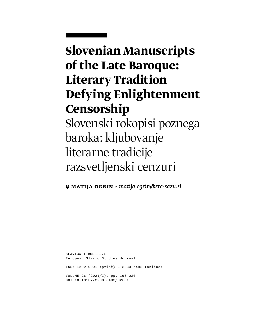# **Slovenian Manuscripts of the Late Baroque: Literary Tradition Defying Enlightenment Censorship** Slovenski rokopisi poznega baroka: kljubovanje literarne tradicije razsvetljenski cenzuri

**❦ Matija Ogrin** ▶ *[matija.ogrin@zrc-sazu.si](mailto:matija.ogrin%40zrc-sazu.si?subject=)*

SLAVICA TERGESTINA European Slavic Studies Journal ISSN 1592-0291 (print) & 2283-5482 (online) VOLUME 26 (2021/I), pp. 196–220 DOI 10.13137/2283-5482/32501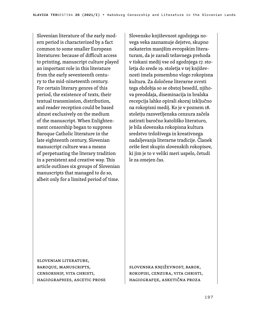Slovenian literature of the early modern period is characterized by a fact common to some smaller European literatures: because of difficult access to printing, manuscript culture played an important role in this literature from the early seventeenth century to the mid-nineteenth century. For certain literary genres of this period, the existence of texts, their textual transmission, distribution, and reader reception could be based almost exclusively on the medium of the manuscript. When Enlightenment censorship began to suppress Baroque Catholic literature in the late eighteenth century, Slovenian manuscript culture was a means of perpetuating the literary tradition in a persistent and creative way. This article outlines six groups of Slovenian manuscripts that managed to do so, albeit only for a limited period of time.

Slovensko književnost zgodnjega novega veka zaznamuje dejstvo, skupno nekaterim manjšim evropskim literaturam, da je zaradi težavnega prehoda v tiskani medij vse od zgodnjega 17. stoletja do srede 19. stoletja v tej književnosti imela pomembno vlogo rokopisna kultura. Za določene literarne zvrsti tega obdobja so se obstoj besedil, njihova preoddaja, diseminacija in bralska recepcija lahko opirali skoraj izključno na rokopisni medij. Ko je v poznem 18. stoletju razsvetljenska cenzura začela zatirati baročno katoliško literaturo, je bila slovenska rokopisna kultura sredstvo trdoživega in kreativnega nadaljevanja literarne tradicije. Članek oriše šest skupin slovenskih rokopisov, ki jim je to v veliki meri uspelo, četudi le za omejen čas.

Slovenian literature, Baroque, manuscripts, censorship, Vita Christi, hagiographies, ascetic prose

Slovenska književnost, barok, rokopisi, cenzura, vita Christi, hagiografije, asketična proza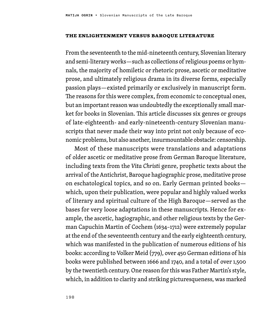#### **The Enlightenment versus Baroque Literature**

From the seventeenth to the mid-nineteenth century, Slovenian literary and semi-literary works—such as collections of religious poems or hymnals, the majority of homiletic or rhetoric prose, ascetic or meditative prose, and ultimately religious drama in its diverse forms, especially passion plays—existed primarily or exclusively in manuscript form. The reasons for this were complex, from economic to conceptual ones, but an important reason was undoubtedly the exceptionally small market for books in Slovenian. This article discusses six genres or groups of late-eighteenth- and early-nineteenth-century Slovenian manuscripts that never made their way into print not only because of economic problems, but also another, insurmountable obstacle: censorship.

Most of these manuscripts were translations and adaptations of older ascetic or meditative prose from German Baroque literature, including texts from the *Vita Christi* genre, prophetic texts about the arrival of the Antichrist, Baroque hagiographic prose, meditative prose on eschatological topics, and so on. Early German printed books which, upon their publication, were popular and highly valued works of literary and spiritual culture of the High Baroque—served as the bases for very loose adaptations in these manuscripts. Hence for example, the ascetic, hagiographic, and other religious texts by the German Capuchin Martin of Cochem (1634–1712) were extremely popular at the end of the seventeenth century and the early eighteenth century, which was manifested in the publication of numerous editions of his books: according to Volker Meid (779), over 450 German editions of his books were published between 1666 and 1740, and a total of over 1,500 by the twentieth century. One reason for this was Father Martin's style, which, in addition to clarity and striking picturesqueness, was marked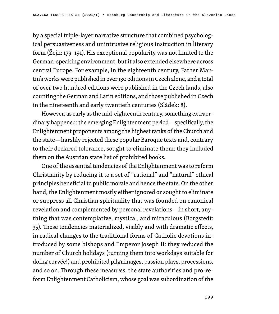by a special triple-layer narrative structure that combined psychological persuasiveness and unintrusive religious instruction in literary form (Žejn: 179–191). His exceptional popularity was not limited to the German-speaking environment, but it also extended elsewhere across central Europe. For example, in the eighteenth century, Father Martin's works were published in over 130 editions in Czech alone, and a total of over two hundred editions were published in the Czech lands, also counting the German and Latin editions, and those published in Czech in the nineteenth and early twentieth centuries (Sládek: 8).

However, as early as the mid-eighteenth century, something extraordinary happened: the emerging Enlightenment period—specifically, the Enlightenment proponents among the highest ranks of the Church and the state—harshly rejected these popular Baroque texts and, contrary to their declared tolerance, sought to eliminate them: they included them on the Austrian state list of prohibited books.

One of the essential tendencies of the Enlightenment was to reform Christianity by reducing it to a set of "rational" and "natural" ethical principles beneficial to public morale and hence the state. On the other hand, the Enlightenment mostly either ignored or sought to eliminate or suppress all Christian spirituality that was founded on canonical revelation and complemented by personal revelations—in short, anything that was contemplative, mystical, and miraculous (Borgstedt: 35). These tendencies materialized, visibly and with dramatic effects, in radical changes to the traditional forms of Catholic devotions introduced by some bishops and Emperor Joseph II: they reduced the number of Church holidays (turning them into workdays suitable for doing corvée!) and prohibited pilgrimages, passion plays, processions, and so on. Through these measures, the state authorities and pro-reform Enlightenment Catholicism, whose goal was subordination of the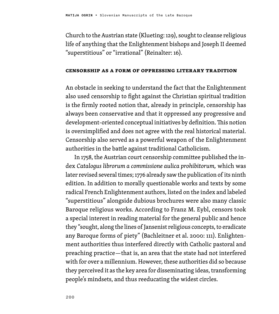Church to the Austrian state (Klueting: 129), sought to cleanse religious life of anything that the Enlightenment bishops and Joseph II deemed "superstitious" or "irrational" (Reinalter: 16).

### **Censorship as a Form of Oppressing Literary Tradition**

An obstacle in seeking to understand the fact that the Enlightenment also used censorship to fight against the Christian spiritual tradition is the firmly rooted notion that, already in principle, censorship has always been conservative and that it oppressed any progressive and development-oriented conceptual initiatives by definition. This notion is oversimplified and does not agree with the real historical material. Censorship also served as a powerful weapon of the Enlightenment authorities in the battle against traditional Catholicism.

In 1758, the Austrian court censorship committee published the index *Catalogus librorum a commissione aulica prohibitorum,* which was later revised several times; 1776 already saw the publication of its ninth edition. In addition to morally questionable works and texts by some radical French Enlightenment authors, listed on the index and labeled "superstitious" alongside dubious brochures were also many classic Baroque religious works. According to Franz M. Eybl, censors took a special interest in reading material for the general public and hence they "sought, along the lines of Jansenist religious concepts, to eradicate any Baroque forms of piety" (Bachleitner et al. 2000: 111). Enlightenment authorities thus interfered directly with Catholic pastoral and preaching practice—that is, an area that the state had not interfered with for over a millennium. However, these authorities did so because they perceived it as the key area for disseminating ideas, transforming people's mindsets, and thus reeducating the widest circles.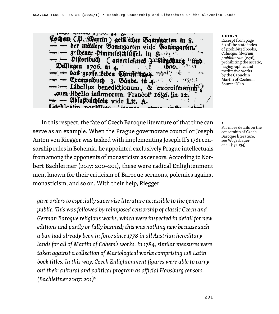lears assessment a loop the St  $\rightarrow$  4  $^{\circ}$ Cochem (P. Martin) getst icher Baumgarten in S. der mittlere Baumgarten vide Baumgarten. selbener Dimmelsschluffel. in Statistic Distortbuch (auserlefenes auswirgsturg Dillingen 1706. in 4, ் மாட் **Das große Leben Christienung** appris  $\mathcal{A}$ مثلا  $-$  Exempelbuth 3. Bânbe. tu.4. ಾಳ್ವಾಲುತ Libellus benedictionum, & exorcifmoram, .cum libello infirmorum. Francof 1686. in 12. - Ablaßbuchlein vide Lit. A. Gochleatin noviffices items

#### ← FIG.1

Excerpt from page 60 of the state index of prohibited books, *Catalogus librorum prohibitorum* (1776), prohibiting the ascetic, hagiographic, and meditative works by the Capuchin Martin of Cochem. Source: DLib.

1 For more details on the censorship of Czech Baroque literature, see Wögerbauer et al. (131–134).

In this respect, the fate of Czech Baroque literature of that time can serve as an example. When the Prague governorate councilor Joseph Anton von Riegger was tasked with implementing Joseph II's 1781 censorship rules in Bohemia, he appointed exclusively Prague intellectuals from among the opponents of monasticism as censors. According to Norbert Bachleitner (2017: 200–201), these were radical Enlightenment men, known for their criticism of Baroque sermons, polemics against monasticism, and so on. With their help, Riegger

*gave orders to especially supervise literature accessible to the general public. This was followed by reimposed censorship of classic Czech and German Baroque religious works, which were inspected in detail for new editions and partly or fully banned; this was nothing new because such a ban had already been in force since 1778 in all Austrian hereditary lands for all of Martin of Cohem's works. In 1784, similar measures were taken against a collection of Mariological works comprising 128 Latin book titles. In this way, Czech Enlightenment figures were able to carry out their cultural and political program as official Habsburg censors. (Bachleitner 2007: 201)*<sup>1</sup>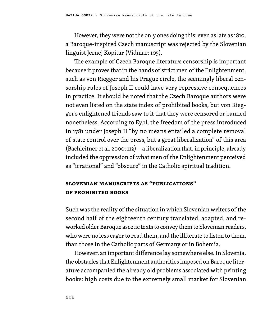However, they were not the only ones doing this: even as late as 1810, a Baroque-inspired Czech manuscript was rejected by the Slovenian linguist Jernej Kopitar (Vidmar: 105).

The example of Czech Baroque literature censorship is important because it proves that in the hands of strict men of the Enlightenment, such as von Riegger and his Prague circle, the seemingly liberal censorship rules of Joseph II could have very repressive consequences in practice. It should be noted that the Czech Baroque authors were not even listed on the state index of prohibited books, but von Riegger's enlightened friends saw to it that they were censored or banned nonetheless. According to Eybl, the freedom of the press introduced in 1781 under Joseph II "by no means entailed a complete removal of state control over the press, but a great liberalization" of this area (Bachleitner et al. 2000: 112)—a liberalization that, in principle, already included the oppression of what men of the Enlightenment perceived as "irrational" and "obscure" in the Catholic spiritual tradition.

### **Slovenian manuscripts as "publications" of prohibited books**

Such was the reality of the situation in which Slovenian writers of the second half of the eighteenth century translated, adapted, and reworked older Baroque ascetic texts to convey them to Slovenian readers, who were no less eager to read them, and the illiterate to listen to them, than those in the Catholic parts of Germany or in Bohemia.

However, an important difference lay somewhere else. In Slovenia, the obstacles that Enlightenment authorities imposed on Baroque literature accompanied the already old problems associated with printing books: high costs due to the extremely small market for Slovenian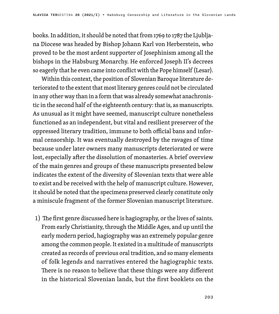books. In addition, it should be noted that from 1769 to 1787 the Ljubljana Diocese was headed by Bishop Johann Karl von Herberstein, who proved to be the most ardent supporter of Josephinism among all the bishops in the Habsburg Monarchy. He enforced Joseph II's decrees so eagerly that he even came into conflict with the Pope himself (Lesar).

Within this context, the position of Slovenian Baroque literature deteriorated to the extent that most literary genres could not be circulated in any other way than in a form that was already somewhat anachronistic in the second half of the eighteenth century: that is, as manuscripts. As unusual as it might have seemed, manuscript culture nonetheless functioned as an independent, but vital and resilient preserver of the oppressed literary tradition, immune to both official bans and informal censorship. It was eventually destroyed by the ravages of time because under later owners many manuscripts deteriorated or were lost, especially after the dissolution of monasteries. A brief overview of the main genres and groups of these manuscripts presented below indicates the extent of the diversity of Slovenian texts that were able to exist and be received with the help of manuscript culture. However, it should be noted that the specimens preserved clearly constitute only a miniscule fragment of the former Slovenian manuscript literature.

1) The first genre discussed here is hagiography, or the lives of saints. From early Christianity, through the Middle Ages, and up until the early modern period, hagiography was an extremely popular genre among the common people. It existed in a multitude of manuscripts created as records of previous oral tradition, and so many elements of folk legends and narratives entered the hagiographic texts. There is no reason to believe that these things were any different in the historical Slovenian lands, but the first booklets on the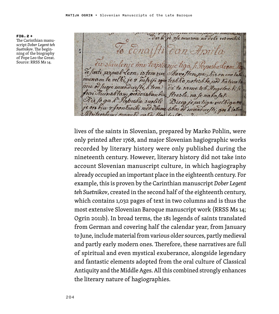FIG.2 → The Carinthian manuscript *Dober Legent teh Suetnikov*. The beginning of the biography

of Pope Leo the Great. Source: RRSS Ms 14.

v/e muerou na dele resvoshit  $ena$ a od muadue, corpomi conqubi nabaj

lives of the saints in Slovenian, prepared by Marko Pohlin, were only printed after 1768, and major Slovenian hagiographic works recorded by literary history were only published during the nineteenth century. However, literary history did not take into account Slovenian manuscript culture, in which hagiography already occupied an important place in the eighteenth century. For example, this is proven by the Carinthian manuscript *Dober Legent teh Suetnikov*, created in the second half of the eighteenth century, which contains 1,032 pages of text in two columns and is thus the most extensive Slovenian Baroque manuscript work (RRSS Ms 14; Ogrin 2011b). In broad terms, the 181 legends of saints translated from German and covering half the calendar year, from January to June, include material from various older sources, partly medieval and partly early modern ones. Therefore, these narratives are full of spiritual and even mystical exuberance, alongside legendary and fantastic elements adopted from the oral culture of Classical Antiquity and the Middle Ages. All this combined strongly enhances the literary nature of hagiographies.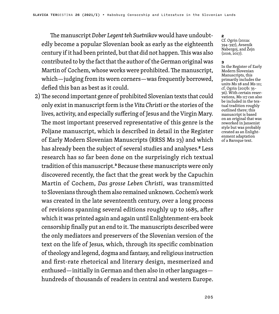The manuscript *Dober Legent teh Suetnikov* would have undoubtedly become a popular Slovenian book as early as the eighteenth century if it had been printed, but that did not happen. This was also contributed to by the fact that the author of the German original was Martin of Cochem, whose works were prohibited. The manuscript, which—judging from its worn corners—was frequently borrowed, defied this ban as best as it could.

2) The second important genre of prohibited Slovenian texts that could only exist in manuscript form is the *Vita Christi* or the stories of the lives, activity, and especially suffering of Jesus and the Virgin Mary. The most important preserved representative of this genre is the Poljane manuscript, which is described in detail in the Register of Early Modern Slovenian Manuscripts (RRSS Ms 23) and which has already been the subject of several studies and analyses.<sup>2</sup> Less research has so far been done on the surprisingly rich textual tradition of this manuscript.<sup>3</sup> Because these manuscripts were only discovered recently, the fact that the great work by the Capuchin Martin of Cochem, *Das grosse Leben Christi*, was transmitted to Slovenians through them also remained unknown. Cochem's work was created in the late seventeenth century, over a long process of revisions spanning several editions roughly up to 1685, after which it was printed again and again until Enlightenment-era book censorship finally put an end to it. The manuscripts described were the only mediators and preservers of the Slovenian version of the text on the life of Jesus, which, through its specific combination of theology and legend, dogma and fantasy, and religious instruction and first-rate rhetorical and literary design, mesmerized and enthused—initially in German and then also in other languages hundreds of thousands of readers in central and western Europe.

#### 2

Cf. Ogrin (2011a: 394–397), Avsenik Nabergoj, and Žejn (2016, 2017).

#### 3

In the Register of Early Modern Slovenian Manuscripts, this primarily includes the units Ms 28 and Ms 111; cf. Ogrin (2017b: 35– 36). With certain reservations, Ms 117 can also be included in the textual tradition roughly outlined there; this manuscript is based on an original that was reworked in Jansenist style but was probably created as an Enlightenment adaptation of a Baroque text.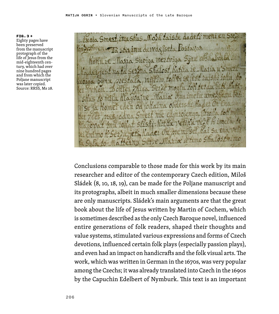FIG.3 → Eighty pages have been preserved from the manuscript protograph of the life of Jesus from the mid-eighteenth century, which had over nine hundred pages and from which the Poljane manuscript was later copied. Source: RRSS, Ms 28.

dadets me im Shus Nork taiste inu devede Suoiga Merriga  $m<sub>O</sub>$  $220011$ 

Conclusions comparable to those made for this work by its main researcher and editor of the contemporary Czech edition, Miloš Sládek (8, 10, 18, 19), can be made for the Poljane manuscript and its protographs, albeit in much smaller dimensions because these are only manuscripts. Sládek's main arguments are that the great book about the life of Jesus written by Martin of Cochem, which is sometimes described as the only Czech Baroque novel, influenced entire generations of folk readers, shaped their thoughts and value systems, stimulated various expressions and forms of Czech devotions, influenced certain folk plays (especially passion plays), and even had an impact on handicrafts and the folk visual arts. The work, which was written in German in the 1670s, was very popular among the Czechs; it was already translated into Czech in the 1690s by the Capuchin Edelbert of Nymburk. This text is an important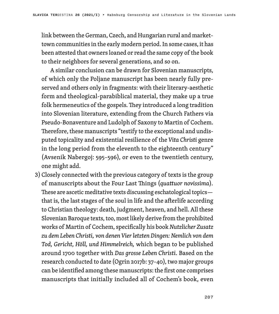link between the German, Czech, and Hungarian rural and markettown communities in the early modern period. In some cases, it has been attested that owners loaned or read the same copy of the book to their neighbors for several generations, and so on.

A similar conclusion can be drawn for Slovenian manuscripts, of which only the Poljane manuscript has been nearly fully preserved and others only in fragments: with their literary-aesthetic form and theological-parabiblical material, they make up a true folk hermeneutics of the gospels. They introduced a long tradition into Slovenian literature, extending from the Church Fathers via Pseudo-Bonaventure and Ludolph of Saxony to Martin of Cochem. Therefore, these manuscripts "testify to the exceptional and undisputed topicality and existential resilience of the *Vita Christi* genre in the long period from the eleventh to the eighteenth century" (Avsenik Nabergoj: 595–596), or even to the twentieth century, one might add.

3) Closely connected with the previous category of texts is the group of manuscripts about the Four Last Things (*quattuor novissima*)*.* These are ascetic meditative texts discussing eschatological topics that is, the last stages of the soul in life and the afterlife according to Christian theology: death, judgment, heaven, and hell. All these Slovenian Baroque texts, too, most likely derive from the prohibited works of Martin of Cochem, specifically his book *Nutzlicher Zusatz zu dem Leben Christi, von denen Vier letzten Dingen: Nemlich von dem Tod, Gericht, Höll, und Himmelreich,* which began to be published around 1700 together with *Das grosse Leben Christi*. Based on the research conducted to date (Ogrin 2017b: 37–40), two major groups can be identified among these manuscripts: the first one comprises manuscripts that initially included all of Cochem's book, even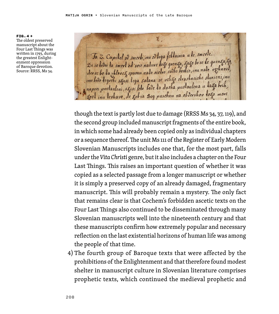FIG.4 →

The oldest preserved manuscript about the Four Last Things was written in 1793, during the greatest Enlightenment oppression of Baroque devotion. Source: RRSS, Ms 34.

 $\chi$ Ja Z. Capilel od smerk, inu odlega fehlainia a le smerle. De ie ledei la smerl od soie nalure loko grenka, Koko bose le grenka, Ka Je te tever va smert od sote nature vas godbo boshio, inu nalo vezhnost, inn bodo legvehi skusi lega salana se veliko slvashneishe sluvieni, inu naprei pustauleni, syusi lete bode ta dusha pustaulena u tanga brih Lost inu leshavo, de gobia Bog pusebnu na obdevshov togo more

though the text is partly lost due to damage (RRSS Ms 34, 37, 119), and the second group included manuscript fragments of the entire book, in which some had already been copied only as individual chapters or a sequence thereof. The unit Ms 111 of the Register of Early Modern Slovenian Manuscripts includes one that, for the most part, falls under the *Vita Christi* genre, but it also includes a chapter on the Four Last Things. This raises an important question of whether it was copied as a selected passage from a longer manuscript or whether it is simply a preserved copy of an already damaged, fragmentary manuscript. This will probably remain a mystery. The only fact that remains clear is that Cochem's forbidden ascetic texts on the Four Last Things also continued to be disseminated through many Slovenian manuscripts well into the nineteenth century and that these manuscripts confirm how extremely popular and necessary reflection on the last existential horizons of human life was among the people of that time.

4) The fourth group of Baroque texts that were affected by the prohibitions of the Enlightenment and that therefore found modest shelter in manuscript culture in Slovenian literature comprises prophetic texts, which continued the medieval prophetic and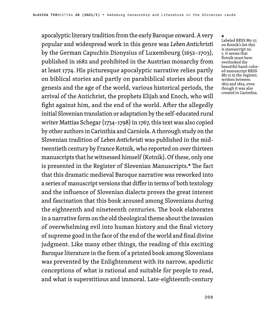apocalyptic literary tradition from the early Baroque onward. A very popular and widespread work in this genre was *Leben Antichristi* by the German Capuchin Dionysius of Luxembourg (1652–1703), published in 1682 and prohibited in the Austrian monarchy from at least 1774. His picturesque apocalyptic narrative relies partly on biblical stories and partly on parabiblical stories about the genesis and the age of the world, various historical periods, the arrival of the Antichrist, the prophets Elijah and Enoch, who will fight against him, and the end of the world. After the allegedly initial Slovenian translation or adaptation by the self-educated rural writer Mattias Schegar (1734–1798) in 1767, this text was also copied by other authors in Carinthia and Carniola. A thorough study on the Slovenian tradition of *Leben Antichristi* was published in the midtwentieth century by France Kotnik, who reported on over thirteen manuscripts that he witnessed himself (Kotnik). Of these, only one is presented in the Register of Slovenian Manuscripts*.* <sup>4</sup> The fact that this dramatic medieval Baroque narrative was reworked into a series of manuscript versions that differ in terms of both textology and the influence of Slovenian dialects proves the great interest and fascination that this book aroused among Slovenians during the eighteenth and nineteenth centuries. The book elaborates in a narrative form on the old theological theme about the invasion of overwhelming evil into human history and the final victory of supreme good in the face of the end of the world and final divine judgment. Like many other things, the reading of this exciting Baroque literature in the form of a printed book among Slovenians was prevented by the Enlightenment with its narrow, apodictic conceptions of what is rational and suitable for people to read, and what is superstitious and immoral. Late-eighteenth-century

#### 4

Labeled RRSS Ms 17; on Kotnik's list this is manuscript no. 3. It seems that Kotnik must have overlooked the beautiful hand-colored manuscript RRSS Ms 15 in the register, written between 1823 and 1824, even though it was also created in Carinthia.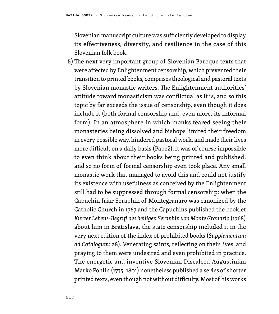Slovenian manuscript culture was sufficiently developed to display its effectiveness, diversity, and resilience in the case of this Slovenian folk book.

5)The next very important group of Slovenian Baroque texts that were affected by Enlightenment censorship, which prevented their transition to printed books, comprises theological and pastoral texts by Slovenian monastic writers. The Enlightenment authorities' attitude toward monasticism was conflictual as it is, and so this topic by far exceeds the issue of censorship, even though it does include it (both formal censorship and, even more, its informal form). In an atmosphere in which monks feared seeing their monasteries being dissolved and bishops limited their freedom in every possible way, hindered pastoral work, and made their lives more difficult on a daily basis (Papež), it was of course impossible to even think about their books being printed and published, and so no form of formal censorship even took place. Any small monastic work that managed to avoid this and could not justify its existence with usefulness as conceived by the Enlightenment still had to be suppressed through formal censorship: when the Capuchin friar Seraphin of Montegranaro was canonized by the Catholic Church in 1767 and the Capuchins published the booklet *Kurzer Lebens-Begriff des heiligen Seraphin von Monte Granario* (1768) about him in Bratislava, the state censorship included it in the very next edition of the index of prohibited books (*Supplementum ad Catalogum*: 28). Venerating saints, reflecting on their lives, and praying to them were undesired and even prohibited in practice. The energetic and inventive Slovenian Discalced Augustinian Marko Pohlin (1735–1801) nonetheless published a series of shorter printed texts, even though not without difficulty. Most of his works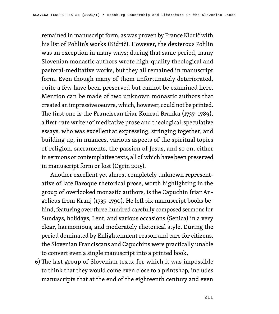remained in manuscript form, as was proven by France Kidrič with his list of Pohlin's works (Kidrič). However, the dexterous Pohlin was an exception in many ways; during that same period, many Slovenian monastic authors wrote high-quality theological and pastoral-meditative works, but they all remained in manuscript form. Even though many of them unfortunately deteriorated, quite a few have been preserved but cannot be examined here. Mention can be made of two unknown monastic authors that created an impressive oeuvre, which, however, could not be printed. The first one is the Franciscan friar Konrad Branka (1737–1789), a first-rate writer of meditative prose and theological-speculative essays, who was excellent at expressing, stringing together, and building up, in nuances, various aspects of the spiritual topics of religion, sacraments, the passion of Jesus, and so on, either in sermons or contemplative texts, all of which have been preserved in manuscript form or lost (Ogrin 2015).

Another excellent yet almost completely unknown representative of late Baroque rhetorical prose, worth highlighting in the group of overlooked monastic authors, is the Capuchin friar Angelicus from Kranj (1735–1790). He left six manuscript books behind, featuring over three hundred carefully composed sermons for Sundays, holidays, Lent, and various occasions (Senica) in a very clear, harmonious, and moderately rhetorical style. During the period dominated by Enlightenment reason and care for citizens, the Slovenian Franciscans and Capuchins were practically unable to convert even a single manuscript into a printed book.

6)The last group of Slovenian texts, for which it was impossible to think that they would come even close to a printshop, includes manuscripts that at the end of the eighteenth century and even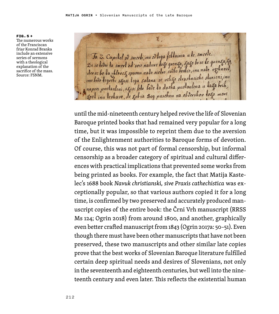FIG.5 → The numerous works of the Franciscan friar Konrad Branka include an extensive series of sermons with a theological explanation of the sacrifice of the mass. Source: FSNM.

 $\chi$ Ja Z. Capilel od smerk, inu odlega fehlainia a le smerle. De ie ledei la smeril od soie nalure lozo grenza, zozo lo se le grenza za inn bodo legvehi skusi lega salana se veliko slvashneishe sluvieni, inu naprei pustauleni, syusi lete bode ta dusha pustaulena u tanga brih kost inu leshavo, de gob ia Bog pusebnu na obdevshov toko move

until the mid-nineteenth century helped revive the life of Slovenian Baroque printed books that had remained very popular for a long time, but it was impossible to reprint them due to the aversion of the Enlightenment authorities to Baroque forms of devotion. Of course, this was not part of formal censorship, but informal censorship as a broader category of spiritual and cultural differences with practical implications that prevented some works from being printed as books. For example, the fact that Matija Kastelec's 1688 book *Navuk christianski, sive Praxis cathechistica* was exceptionally popular, so that various authors copied it for a long time, is confirmed by two preserved and accurately produced manuscript copies of the entire book: the Črni Vrh manuscript (RRSS Ms 124; Ogrin 2018) from around 1800, and another, graphically even better crafted manuscript from 1843 (Ogrin 2017a: 50–51). Even though there must have been other manuscripts that have not been preserved, these two manuscripts and other similar late copies prove that the best works of Slovenian Baroque literature fulfilled certain deep spiritual needs and desires of Slovenians, not only in the seventeenth and eighteenth centuries, but well into the nineteenth century and even later. This reflects the existential human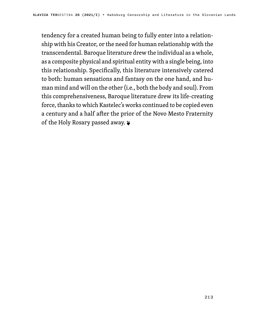tendency for a created human being to fully enter into a relationship with his Creator, or the need for human relationship with the transcendental. Baroque literature drew the individual as a whole, as a composite physical and spiritual entity with a single being, into this relationship. Specifically, this literature intensively catered to both: human sensations and fantasy on the one hand, and human mind and will on the other (i.e., both the body and soul). From this comprehensiveness, Baroque literature drew its life-creating force, thanks to which Kastelec's works continued to be copied even a century and a half after the prior of the Novo Mesto Fraternity of the Holy Rosary passed away. ❦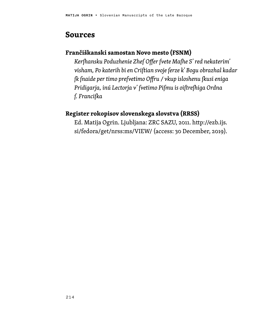### **Sources**

### **Frančiškanski samostan Novo mesto (FSNM)**

*Kerſhansku Poduzhenie Zheſ Offer ſvete Maſhe S' red nekaterim' visham, Po katerih bi en Criſtian svoje ſerze k' Bogu obrazhal kadar ſk ſnaide per timo preſvetimo Offru / vkup isloshenu ſkusi eniga Pridigarja, inú Lectorja v' ſvetimo Piſmu is oiſtreſhiga Ordna ſ. Franciſka*

### **Register rokopisov slovenskega slovstva (RRSS)**

Ed. Matija Ogrin. Ljubljana: ZRC SAZU, 2011. http://ezb.ijs. si/fedora/get/nrss:ms/VIEW/ (access: 30 December, 2019).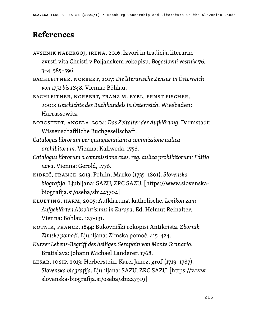### **References**

- AVSENIK NABERGOJ, IRENA, 2016: Izvori in tradicija literarne zvrsti vita Christi v Poljanskem rokopisu. *Bogoslovni vestnik* 76, 3–4. 585–596.
- BACHLEITNER, NORBERT, 2017: *Die literarische Zensur in Österreich von 1751 bis 1848.* Vienna: Böhlau.
- BACHLEITNER, NORBERT, FRANZ M. EYBL, ERNST FISCHER, 2000: *Geschichte des Buchhandels in Österreich*. Wiesbaden: Harrassowitz.
- BORGSTEDT, ANGELA, 2004: *Das Zeitalter der Aufklärung.* Darmstadt: Wissenschaftliche Buchgesellschaft.
- *Catalogus librorum per quinquennium a commissione aulica prohibitorum.* Vienna: Kaliwoda, 1758.
- *Catalogus librorum a commissione caes. reg. aulica prohibitorum: Editio nova*. Vienna: Gerold, 1776.
- KIDRIČ, FRANCE, 2013: Pohlin, Marko (1735–1801). *Slovenska biografija.* Ljubljana: SAZU, ZRC SAZU. [https://www.slovenskabiografija.si/oseba/sbi443704]
- KLUETING, HARM, 2005: Aufklärung, katholische. *Lexikon zum Aufgeklärten Absolutismus in Europa*. Ed. Helmut Reinalter. Vienna: Böhlau. 127–131.
- KOTNIK, FRANCE, 1844: Bukovniški rokopisi Antikrista. *Zbornik Zimske pomoči.* Ljubljana: Zimska pomoč. 415–424.
- *Kurzer Lebens-Begriff des heiligen Seraphin von Monte Granario.* Bratislava: Johann Michael Landerer, 1768.
- LESAR, JOSIP, 2013: Herberstein, Karel Janez, grof (1719–1787). *Slovenska biografija.* Ljubljana: SAZU, ZRC SAZU. [https://www. slovenska-biografija.si/oseba/sbi227919]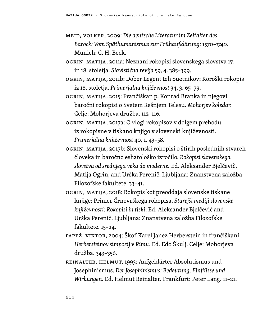- MEID, VOLKER, 2009: *Die deutsche Literatur im Zeitalter des Barock: Vom Späthumanismus zur Frühaufklärung: 1570–1740.* Munich: C. H. Beck.
- OGRIN, MATIJA, 2011a: Neznani rokopisi slovenskega slovstva 17. in 18. stoletja. *Slavistična revija* 59, 4. 385–399.
- OGRIN, MATIJA, 2011b: Dober Legent teh Suetnikov: Koroški rokopis iz 18. stoletja. *Primerjalna književnost* 34, 3. 65–79.
- OGRIN, MATIJA, 2015: Frančiškan p. Konrad Branka in njegovi baročni rokopisi o Svetem Rešnjem Telesu. *Mohorjev koledar.* Celje: Mohorjeva družba. 112–116.
- OGRIN, MATIJA, 2017a: O vlogi rokopisov v dolgem prehodu iz rokopisne v tiskano knjigo v slovenski književnosti. *Primerjalna književnost* 40, 1. 43–58.
- OGRIN, MATIJA, 2017b: Slovenski rokopisi o štirih poslednjih stvareh človeka in baročno eshatološko izročilo. *Rokopisi slovenskega slovstva od srednjega veka do moderne.* Ed. Aleksander Bjelčevič, Matija Ogrin, and Urška Perenič. Ljubljana: Znanstvena založba Filozofske fakultete. 33–41.
- OGRIN, MATIJA, 2018: Rokopis kot preoddaja slovenske tiskane knjige: Primer Črnovrškega rokopisa. *Starejši mediji slovenske književnosti: Rokopisi in tiski*. Ed. Aleksander Bjelčevič and Urška Perenič. Ljubljana: Znanstvena založba Filozofske fakultete. 15–24.
- PAPEŽ, VIKTOR, 2004: Škof Karel Janez Herberstein in frančiškani. *Herbersteinov simpozij v Rimu.* Ed. Edo Škulj. Celje: Mohorjeva družba. 343–356.
- REINALTER, HELMUT, 1993: Aufgeklärter Absolutismus und Josephinismus. *Der Josephinismus: Bedeutung, Einflüsse und Wirkungen*. Ed. Helmut Reinalter. Frankfurt: Peter Lang. 11–21.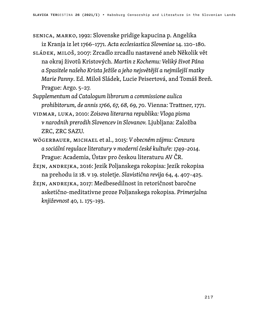SENICA, MARKO, 1992: Slovenske pridige kapucina p. Angelika iz Kranja iz let 1766–1771. *Acta ecclesiastica Sloveniae* 14. 120–180.

- SLÁDEK, MILOŠ, 2007: Zrcadlo zrcadlu nastavené aneb Několik vět na okraj životů Kristových. *Martin z Kochemu: Veliký život Pána a Spasitele našeho Krista Ježíše a jeho nejsvětější a nejmilejší matky Marie Panny*. Ed. Miloš Sládek, Lucie Peisertová, and Tomáš Breň. Prague: Argo. 5–27.
- *Supplementum ad Catalogum librorum a commissione aulica prohibitorum, de annis 1766, 67, 68, 69, 70.* Vienna: Trattner, 1771.
- VIDMAR, LUKA, 2010: *Zoisova literarna republika: Vloga pisma v narodnih prerodih Slovencev in Slovanov.* Ljubljana: Založba ZRC, ZRC SAZU.
- WÖGERBAUER, MICHAEL et al., 2015: *V obecném zájmu: Cenzura a sociální regulace literatury v moderní české kultuře: 1749–2014.* Prague: Academia, Ústav pro českou literaturu AV ČR.
- ŽEJN, ANDREJKA, 2016: Jezik Poljanskega rokopisa: Jezik rokopisa na prehodu iz 18. v 19. stoletje. *Slavistična revija* 64, 4. 407–425.
- ŽEJN, ANDREJKA, 2017: Medbesedilnost in retoričnost baročne asketično-meditativne proze Poljanskega rokopisa. *Primerjalna književnost* 40, 1. 175–193.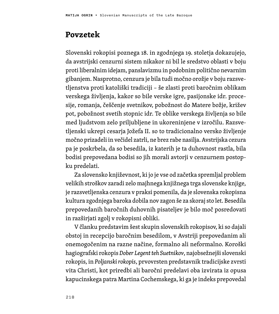### **Povzetek**

Slovenski rokopisi poznega 18. in zgodnjega 19. stoletja dokazujejo, da avstrijski cenzurni sistem nikakor ni bil le sredstvo oblasti v boju proti liberalnim idejam, panslavizmu in podobnim politično nevarnim gibanjem. Nasprotno, cenzura je bila tudi močno orožje v boju razsvetljenstva proti katoliški tradiciji – še zlasti proti baročnim oblikam verskega življenja, kakor so bile verske igre, pasijonske idr. procesije, romanja, češčenje svetnikov, pobožnost do Matere božje, križev pot, pobožnost svetih stopnic idr. Te oblike verskega življenja so bile med ljudstvom zelo priljubljene in ukoreninjene v izročilu. Razsvetljenski ukrepi cesarja Jožefa II. so to tradicionalno versko življenje močno prizadeli in večidel zatrli, ne brez rabe nasilja. Avstrijska cezura pa je poskrbela, da so besedila, iz katerih je ta duhovnost rastla, bila bodisi prepovedana bodisi so jih morali avtorji v cenzurnem postopku predelati.

Za slovensko književnost, ki jo je vse od začetka spremljal problem velikih stroškov zaradi zelo majhnega knjižnega trga slovenske knjige, je razsvetljenska cenzura v praksi pomenila, da je slovenska rokopisna kultura zgodnjega baroka dobila nov zagon še za skoraj sto let. Besedila prepovedanih baročnih duhovnih pisateljev je bilo moč posredovati in razširjati zgolj v rokopisni obliki.

V članku predstavim šest skupin slovenskih rokopisov, ki so dajali obstoj in recepcijo baročnim besedilom, v Avstriji prepovedanim ali onemogočenim na razne načine, formalno ali neformalno. Koroški hagiografski rokopis *Dober Legent teh Suetnikov*, najobsežnejši slovenski rokopis, in *Poljanski rokopis*, prvovrsten predstavnik tradicijske zvrsti vita Christi, kot priredbi ali baročni predelavi oba izvirata iz opusa kapucinskega patra Martina Cochemskega, ki ga je indeks prepovedal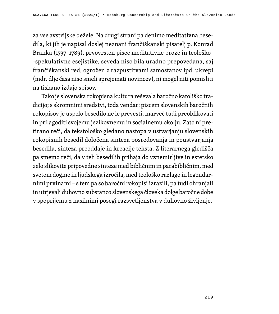za vse avstrijske dežele. Na drugi strani pa denimo meditativna besedila, ki jih je napisal doslej neznani frančiškanski pisatelj p. Konrad Branka (1737–1789), prvovrsten pisec meditativne proze in teološko- -spekulativne esejistike, seveda niso bila uradno prepovedana, saj frančiškanski red, ogrožen z razpustitvami samostanov ipd. ukrepi (mdr. dlje časa niso smeli sprejemati novincev), ni mogel niti pomisliti na tiskano izdajo spisov.

Tako je slovenska rokopisna kultura reševala baročno katoliško tradicijo; s skromnimi sredstvi, toda vendar: piscem slovenskih baročnih rokopisov je uspelo besedilo ne le prevesti, marveč tudi preoblikovati in prilagoditi svojemu jezikovnemu in socialnemu okolju. Zato ni pretirano reči, da tekstološko gledano nastopa v ustvarjanju slovenskih rokopisnih besedil določena sinteza posredovanja in poustvarjanja besedila, sinteza preoddaje in kreacije teksta. Z literarnega gledišča pa smemo reči, da v teh besedilih prihaja do vznemirljive in estetsko zelo slikovite pripovedne sinteze med bibličnim in parabibličnim, med svetom dogme in ljudskega izročila, med teološko razlago in legendarnimi prvinami – s tem pa so baročni rokopisi izrazili, pa tudi ohranjali in utrjevali duhovno substanco slovenskega človeka dolge baročne dobe v spoprijemu z nasilnimi posegi razsvetljenstva v duhovno življenje.